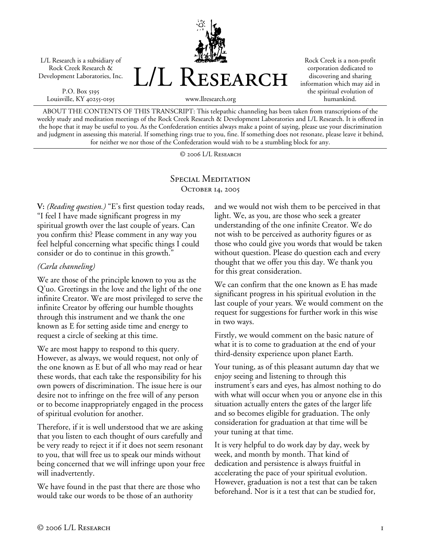L/L Research is a subsidiary of Rock Creek Research & Development Laboratories, Inc.

P.O. Box 5195 Louisville, KY 40255-0195



Rock Creek is a non-profit corporation dedicated to discovering and sharing information which may aid in the spiritual evolution of humankind.

www.llresearch.org

ABOUT THE CONTENTS OF THIS TRANSCRIPT: This telepathic channeling has been taken from transcriptions of the weekly study and meditation meetings of the Rock Creek Research & Development Laboratories and L/L Research. It is offered in the hope that it may be useful to you. As the Confederation entities always make a point of saying, please use your discrimination and judgment in assessing this material. If something rings true to you, fine. If something does not resonate, please leave it behind, for neither we nor those of the Confederation would wish to be a stumbling block for any.

© 2006 L/L Research

## SPECIAL MEDITATION OCTOBER 14, 2005

**V:** *(Reading question.)* "E's first question today reads, "I feel I have made significant progress in my spiritual growth over the last couple of years. Can you confirm this? Please comment in any way you feel helpful concerning what specific things I could consider or do to continue in this growth."

## *(Carla channeling)*

We are those of the principle known to you as the Q'uo. Greetings in the love and the light of the one infinite Creator. We are most privileged to serve the infinite Creator by offering our humble thoughts through this instrument and we thank the one known as E for setting aside time and energy to request a circle of seeking at this time.

We are most happy to respond to this query. However, as always, we would request, not only of the one known as E but of all who may read or hear these words, that each take the responsibility for his own powers of discrimination. The issue here is our desire not to infringe on the free will of any person or to become inappropriately engaged in the process of spiritual evolution for another.

Therefore, if it is well understood that we are asking that you listen to each thought of ours carefully and be very ready to reject it if it does not seem resonant to you, that will free us to speak our minds without being concerned that we will infringe upon your free will inadvertently.

We have found in the past that there are those who would take our words to be those of an authority

and we would not wish them to be perceived in that light. We, as you, are those who seek a greater understanding of the one infinite Creator. We do not wish to be perceived as authority figures or as those who could give you words that would be taken without question. Please do question each and every thought that we offer you this day. We thank you for this great consideration.

We can confirm that the one known as E has made significant progress in his spiritual evolution in the last couple of your years. We would comment on the request for suggestions for further work in this wise in two ways.

Firstly, we would comment on the basic nature of what it is to come to graduation at the end of your third-density experience upon planet Earth.

Your tuning, as of this pleasant autumn day that we enjoy seeing and listening to through this instrument's ears and eyes, has almost nothing to do with what will occur when you or anyone else in this situation actually enters the gates of the larger life and so becomes eligible for graduation. The only consideration for graduation at that time will be your tuning at that time.

It is very helpful to do work day by day, week by week, and month by month. That kind of dedication and persistence is always fruitful in accelerating the pace of your spiritual evolution. However, graduation is not a test that can be taken beforehand. Nor is it a test that can be studied for,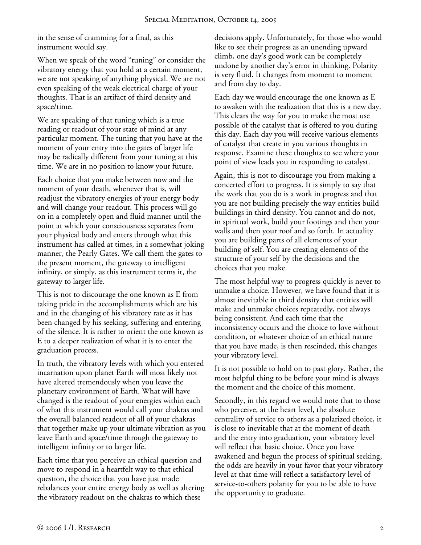in the sense of cramming for a final, as this instrument would say.

When we speak of the word "tuning" or consider the vibratory energy that you hold at a certain moment, we are not speaking of anything physical. We are not even speaking of the weak electrical charge of your thoughts. That is an artifact of third density and space/time.

We are speaking of that tuning which is a true reading or readout of your state of mind at any particular moment. The tuning that you have at the moment of your entry into the gates of larger life may be radically different from your tuning at this time. We are in no position to know your future.

Each choice that you make between now and the moment of your death, whenever that is, will readjust the vibratory energies of your energy body and will change your readout. This process will go on in a completely open and fluid manner until the point at which your consciousness separates from your physical body and enters through what this instrument has called at times, in a somewhat joking manner, the Pearly Gates. We call them the gates to the present moment, the gateway to intelligent infinity, or simply, as this instrument terms it, the gateway to larger life.

This is not to discourage the one known as E from taking pride in the accomplishments which are his and in the changing of his vibratory rate as it has been changed by his seeking, suffering and entering of the silence. It is rather to orient the one known as E to a deeper realization of what it is to enter the graduation process.

In truth, the vibratory levels with which you entered incarnation upon planet Earth will most likely not have altered tremendously when you leave the planetary environment of Earth. What will have changed is the readout of your energies within each of what this instrument would call your chakras and the overall balanced readout of all of your chakras that together make up your ultimate vibration as you leave Earth and space/time through the gateway to intelligent infinity or to larger life.

Each time that you perceive an ethical question and move to respond in a heartfelt way to that ethical question, the choice that you have just made rebalances your entire energy body as well as altering the vibratory readout on the chakras to which these

decisions apply. Unfortunately, for those who would like to see their progress as an unending upward climb, one day's good work can be completely undone by another day's error in thinking. Polarity is very fluid. It changes from moment to moment and from day to day.

Each day we would encourage the one known as E to awaken with the realization that this is a new day. This clears the way for you to make the most use possible of the catalyst that is offered to you during this day. Each day you will receive various elements of catalyst that create in you various thoughts in response. Examine these thoughts to see where your point of view leads you in responding to catalyst.

Again, this is not to discourage you from making a concerted effort to progress. It is simply to say that the work that you do is a work in progress and that you are not building precisely the way entities build buildings in third density. You cannot and do not, in spiritual work, build your footings and then your walls and then your roof and so forth. In actuality you are building parts of all elements of your building of self. You are creating elements of the structure of your self by the decisions and the choices that you make.

The most helpful way to progress quickly is never to unmake a choice. However, we have found that it is almost inevitable in third density that entities will make and unmake choices repeatedly, not always being consistent. And each time that the inconsistency occurs and the choice to love without condition, or whatever choice of an ethical nature that you have made, is then rescinded, this changes your vibratory level.

It is not possible to hold on to past glory. Rather, the most helpful thing to be before your mind is always the moment and the choice of this moment.

Secondly, in this regard we would note that to those who perceive, at the heart level, the absolute centrality of service to others as a polarized choice, it is close to inevitable that at the moment of death and the entry into graduation, your vibratory level will reflect that basic choice. Once you have awakened and begun the process of spiritual seeking, the odds are heavily in your favor that your vibratory level at that time will reflect a satisfactory level of service-to-others polarity for you to be able to have the opportunity to graduate.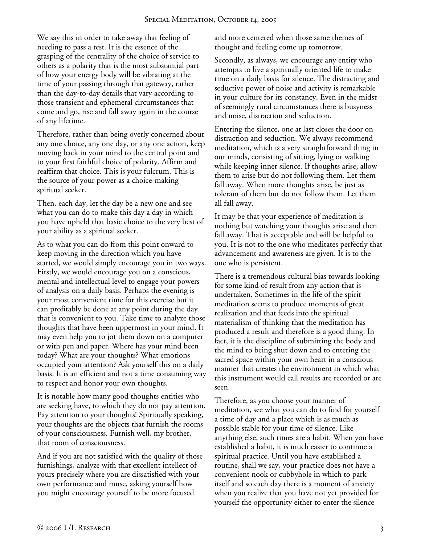We say this in order to take away that feeling of needing to pass a test. It is the essence of the grasping of the centrality of the choice of service to others as a polarity that is the most substantial part of how your energy body will be vibrating at the time of your passing through that gateway, rather than the day-to-day details that vary according to those transient and ephemeral circumstances that come and go, rise and fall away again in the course of any lifetime.

Therefore, rather than being overly concerned about any one choice, any one day, or any one action, keep moving back in your mind to the central point and to your first faithful choice of polarity. Affirm and reaffirm that choice. This is your fulcrum. This is the source of your power as a choice-making spiritual seeker.

Then, each day, let the day be a new one and see what you can do to make this day a day in which you have upheld that basic choice to the very best of your ability as a spiritual seeker.

As to what you can do from this point onward to keep moving in the direction which you have started, we would simply encourage you in two ways. Firstly, we would encourage you on a conscious, mental and intellectual level to engage your powers of analysis on a daily basis. Perhaps the evening is your most convenient time for this exercise but it can profitably be done at any point during the day that is convenient to you. Take time to analyze those thoughts that have been uppermost in your mind. It may even help you to jot them down on a computer or with pen and paper. Where has your mind been today? What are your thoughts? What emotions occupied your attention? Ask yourself this on a daily basis. It is an efficient and not a time consuming way to respect and honor your own thoughts.

It is notable how many good thoughts entities who are seeking have, to which they do not pay attention. Pay attention to your thoughts! Spiritually speaking, your thoughts are the objects that furnish the rooms of your consciousness. Furnish well, my brother, that room of consciousness.

And if you are not satisfied with the quality of those furnishings, analyze with that excellent intellect of yours precisely where you are dissatisfied with your own performance and muse, asking yourself how you might encourage yourself to be more focused

and more centered when those same themes of thought and feeling come up tomorrow.

Secondly, as always, we encourage any entity who attempts to live a spiritually oriented life to make time on a daily basis for silence. The distracting and seductive power of noise and activity is remarkable in your culture for its constancy. Even in the midst of seemingly rural circumstances there is busyness and noise, distraction and seduction.

Entering the silence, one at last closes the door on distraction and seduction. We always recommend meditation, which is a very straightforward thing in our minds, consisting of sitting, lying or walking while keeping inner silence. If thoughts arise, allow them to arise but do not following them. Let them fall away. When more thoughts arise, be just as tolerant of them but do not follow them. Let them all fall away.

It may be that your experience of meditation is nothing but watching your thoughts arise and then fall away. That is acceptable and will be helpful to you. It is not to the one who meditates perfectly that advancement and awareness are given. It is to the one who is persistent.

There is a tremendous cultural bias towards looking for some kind of result from any action that is undertaken. Sometimes in the life of the spirit meditation seems to produce moments of great realization and that feeds into the spiritual materialism of thinking that the meditation has produced a result and therefore is a good thing. In fact, it is the discipline of submitting the body and the mind to being shut down and to entering the sacred space within your own heart in a conscious manner that creates the environment in which what this instrument would call results are recorded or are seen.

Therefore, as you choose your manner of meditation, see what you can do to find for yourself a time of day and a place which is as much as possible stable for your time of silence. Like anything else, such times are a habit. When you have established a habit, it is much easier to continue a spiritual practice. Until you have established a routine, shall we say, your practice does not have a convenient nook or cubbyhole in which to park itself and so each day there is a moment of anxiety when you realize that you have not yet provided for yourself the opportunity either to enter the silence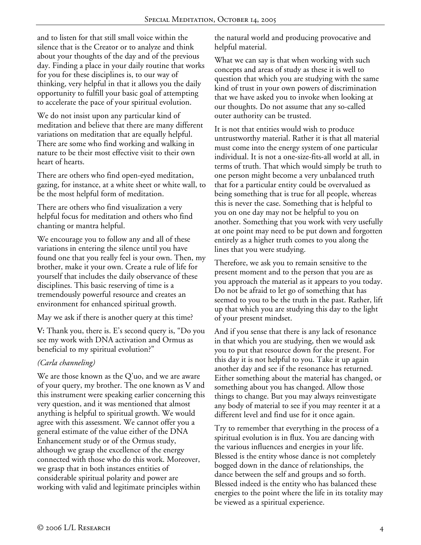and to listen for that still small voice within the silence that is the Creator or to analyze and think about your thoughts of the day and of the previous day. Finding a place in your daily routine that works for you for these disciplines is, to our way of thinking, very helpful in that it allows you the daily opportunity to fulfill your basic goal of attempting to accelerate the pace of your spiritual evolution.

We do not insist upon any particular kind of meditation and believe that there are many different variations on meditation that are equally helpful. There are some who find working and walking in nature to be their most effective visit to their own heart of hearts.

There are others who find open-eyed meditation, gazing, for instance, at a white sheet or white wall, to be the most helpful form of meditation.

There are others who find visualization a very helpful focus for meditation and others who find chanting or mantra helpful.

We encourage you to follow any and all of these variations in entering the silence until you have found one that you really feel is your own. Then, my brother, make it your own. Create a rule of life for yourself that includes the daily observance of these disciplines. This basic reserving of time is a tremendously powerful resource and creates an environment for enhanced spiritual growth.

May we ask if there is another query at this time?

**V:** Thank you, there is. E's second query is, "Do you see my work with DNA activation and Ormus as beneficial to my spiritual evolution?"

# *(Carla channeling)*

We are those known as the Q'uo, and we are aware of your query, my brother. The one known as V and this instrument were speaking earlier concerning this very question, and it was mentioned that almost anything is helpful to spiritual growth. We would agree with this assessment. We cannot offer you a general estimate of the value either of the DNA Enhancement study or of the Ormus study, although we grasp the excellence of the energy connected with those who do this work. Moreover, we grasp that in both instances entities of considerable spiritual polarity and power are working with valid and legitimate principles within

the natural world and producing provocative and helpful material.

What we can say is that when working with such concepts and areas of study as these it is well to question that which you are studying with the same kind of trust in your own powers of discrimination that we have asked you to invoke when looking at our thoughts. Do not assume that any so-called outer authority can be trusted.

It is not that entities would wish to produce untrustworthy material. Rather it is that all material must come into the energy system of one particular individual. It is not a one-size-fits-all world at all, in terms of truth. That which would simply be truth to one person might become a very unbalanced truth that for a particular entity could be overvalued as being something that is true for all people, whereas this is never the case. Something that is helpful to you on one day may not be helpful to you on another. Something that you work with very usefully at one point may need to be put down and forgotten entirely as a higher truth comes to you along the lines that you were studying.

Therefore, we ask you to remain sensitive to the present moment and to the person that you are as you approach the material as it appears to you today. Do not be afraid to let go of something that has seemed to you to be the truth in the past. Rather, lift up that which you are studying this day to the light of your present mindset.

And if you sense that there is any lack of resonance in that which you are studying, then we would ask you to put that resource down for the present. For this day it is not helpful to you. Take it up again another day and see if the resonance has returned. Either something about the material has changed, or something about you has changed. Allow those things to change. But you may always reinvestigate any body of material to see if you may reenter it at a different level and find use for it once again.

Try to remember that everything in the process of a spiritual evolution is in flux. You are dancing with the various influences and energies in your life. Blessed is the entity whose dance is not completely bogged down in the dance of relationships, the dance between the self and groups and so forth. Blessed indeed is the entity who has balanced these energies to the point where the life in its totality may be viewed as a spiritual experience.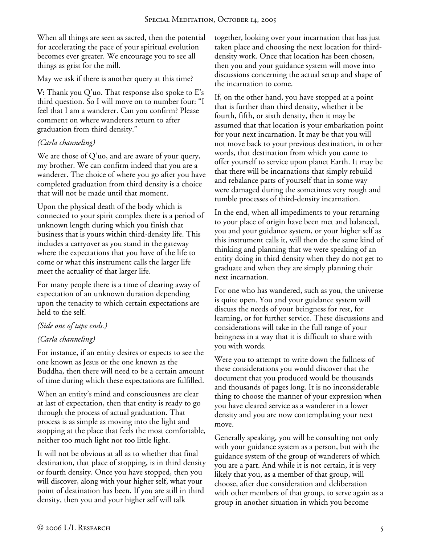When all things are seen as sacred, then the potential for accelerating the pace of your spiritual evolution becomes ever greater. We encourage you to see all things as grist for the mill.

May we ask if there is another query at this time?

**V:** Thank you Q'uo. That response also spoke to E's third question. So I will move on to number four: "I feel that I am a wanderer. Can you confirm? Please comment on where wanderers return to after graduation from third density."

# *(Carla channeling)*

We are those of Q'uo, and are aware of your query, my brother. We can confirm indeed that you are a wanderer. The choice of where you go after you have completed graduation from third density is a choice that will not be made until that moment.

Upon the physical death of the body which is connected to your spirit complex there is a period of unknown length during which you finish that business that is yours within third-density life. This includes a carryover as you stand in the gateway where the expectations that you have of the life to come or what this instrument calls the larger life meet the actuality of that larger life.

For many people there is a time of clearing away of expectation of an unknown duration depending upon the tenacity to which certain expectations are held to the self.

# *(Side one of tape ends.)*

# *(Carla channeling)*

For instance, if an entity desires or expects to see the one known as Jesus or the one known as the Buddha, then there will need to be a certain amount of time during which these expectations are fulfilled.

When an entity's mind and consciousness are clear at last of expectation, then that entity is ready to go through the process of actual graduation. That process is as simple as moving into the light and stopping at the place that feels the most comfortable, neither too much light nor too little light.

It will not be obvious at all as to whether that final destination, that place of stopping, is in third density or fourth density. Once you have stopped, then you will discover, along with your higher self, what your point of destination has been. If you are still in third density, then you and your higher self will talk

together, looking over your incarnation that has just taken place and choosing the next location for thirddensity work. Once that location has been chosen, then you and your guidance system will move into discussions concerning the actual setup and shape of the incarnation to come.

If, on the other hand, you have stopped at a point that is further than third density, whether it be fourth, fifth, or sixth density, then it may be assumed that that location is your embarkation point for your next incarnation. It may be that you will not move back to your previous destination, in other words, that destination from which you came to offer yourself to service upon planet Earth. It may be that there will be incarnations that simply rebuild and rebalance parts of yourself that in some way were damaged during the sometimes very rough and tumble processes of third-density incarnation.

In the end, when all impediments to your returning to your place of origin have been met and balanced, you and your guidance system, or your higher self as this instrument calls it, will then do the same kind of thinking and planning that we were speaking of an entity doing in third density when they do not get to graduate and when they are simply planning their next incarnation.

For one who has wandered, such as you, the universe is quite open. You and your guidance system will discuss the needs of your beingness for rest, for learning, or for further service. These discussions and considerations will take in the full range of your beingness in a way that it is difficult to share with you with words.

Were you to attempt to write down the fullness of these considerations you would discover that the document that you produced would be thousands and thousands of pages long. It is no inconsiderable thing to choose the manner of your expression when you have cleared service as a wanderer in a lower density and you are now contemplating your next move.

Generally speaking, you will be consulting not only with your guidance system as a person, but with the guidance system of the group of wanderers of which you are a part. And while it is not certain, it is very likely that you, as a member of that group, will choose, after due consideration and deliberation with other members of that group, to serve again as a group in another situation in which you become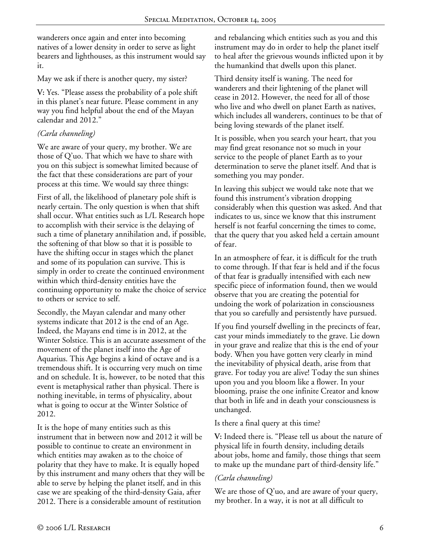wanderers once again and enter into becoming natives of a lower density in order to serve as light bearers and lighthouses, as this instrument would say it.

May we ask if there is another query, my sister?

**V:** Yes. "Please assess the probability of a pole shift in this planet's near future. Please comment in any way you find helpful about the end of the Mayan calendar and 2012."

# *(Carla channeling)*

We are aware of your query, my brother. We are those of Q'uo. That which we have to share with you on this subject is somewhat limited because of the fact that these considerations are part of your process at this time. We would say three things:

First of all, the likelihood of planetary pole shift is nearly certain. The only question is when that shift shall occur. What entities such as L/L Research hope to accomplish with their service is the delaying of such a time of planetary annihilation and, if possible, the softening of that blow so that it is possible to have the shifting occur in stages which the planet and some of its population can survive. This is simply in order to create the continued environment within which third-density entities have the continuing opportunity to make the choice of service to others or service to self.

Secondly, the Mayan calendar and many other systems indicate that 2012 is the end of an Age. Indeed, the Mayans end time is in 2012, at the Winter Solstice. This is an accurate assessment of the movement of the planet itself into the Age of Aquarius. This Age begins a kind of octave and is a tremendous shift. It is occurring very much on time and on schedule. It is, however, to be noted that this event is metaphysical rather than physical. There is nothing inevitable, in terms of physicality, about what is going to occur at the Winter Solstice of 2012.

It is the hope of many entities such as this instrument that in between now and 2012 it will be possible to continue to create an environment in which entities may awaken as to the choice of polarity that they have to make. It is equally hoped by this instrument and many others that they will be able to serve by helping the planet itself, and in this case we are speaking of the third-density Gaia, after 2012. There is a considerable amount of restitution

and rebalancing which entities such as you and this instrument may do in order to help the planet itself to heal after the grievous wounds inflicted upon it by the humankind that dwells upon this planet.

Third density itself is waning. The need for wanderers and their lightening of the planet will cease in 2012. However, the need for all of those who live and who dwell on planet Earth as natives, which includes all wanderers, continues to be that of being loving stewards of the planet itself.

It is possible, when you search your heart, that you may find great resonance not so much in your service to the people of planet Earth as to your determination to serve the planet itself. And that is something you may ponder.

In leaving this subject we would take note that we found this instrument's vibration dropping considerably when this question was asked. And that indicates to us, since we know that this instrument herself is not fearful concerning the times to come, that the query that you asked held a certain amount of fear.

In an atmosphere of fear, it is difficult for the truth to come through. If that fear is held and if the focus of that fear is gradually intensified with each new specific piece of information found, then we would observe that you are creating the potential for undoing the work of polarization in consciousness that you so carefully and persistently have pursued.

If you find yourself dwelling in the precincts of fear, cast your minds immediately to the grave. Lie down in your grave and realize that this is the end of your body. When you have gotten very clearly in mind the inevitability of physical death, arise from that grave. For today you are alive! Today the sun shines upon you and you bloom like a flower. In your blooming, praise the one infinite Creator and know that both in life and in death your consciousness is unchanged.

Is there a final query at this time?

**V:** Indeed there is. "Please tell us about the nature of physical life in fourth density, including details about jobs, home and family, those things that seem to make up the mundane part of third-density life."

# *(Carla channeling)*

We are those of Q'uo, and are aware of your query, my brother. In a way, it is not at all difficult to